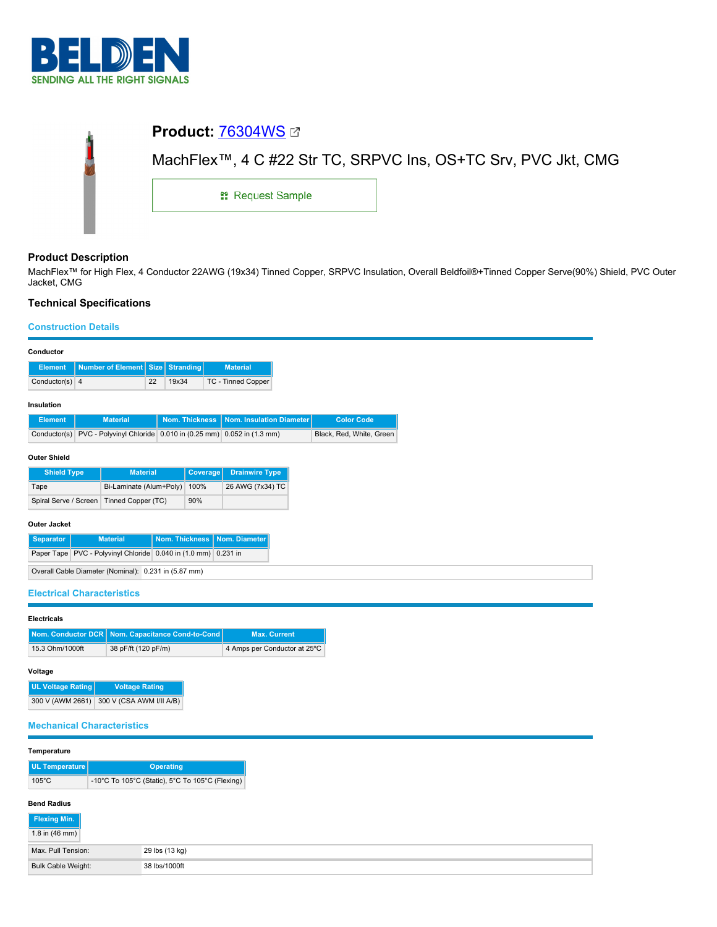

| MachFlex™, 4 C #22 Str TC, SRPVC Ins, OS+TC Srv, PVC Jkt, CMG |  |  |  |  |
|---------------------------------------------------------------|--|--|--|--|
| <b>: Request Sample</b>                                       |  |  |  |  |
|                                                               |  |  |  |  |

## **Product Description**

MachFlex™ for High Flex, 4 Conductor 22AWG (19x34) Tinned Copper, SRPVC Insulation, Overall Beldfoil®+Tinned Copper Serve(90%) Shield, PVC Outer Jacket, CMG

# **Technical Specifications**

## **Construction Details**

| Conductor                                                      |                                                               |                       |                       |                              |                     |                          |
|----------------------------------------------------------------|---------------------------------------------------------------|-----------------------|-----------------------|------------------------------|---------------------|--------------------------|
| <b>Element</b>                                                 | Number of Element Size                                        |                       | Stranding             | <b>Material</b>              |                     |                          |
| Conductor(s) $4$                                               | 22                                                            | 19x34                 |                       | <b>TC - Tinned Copper</b>    |                     |                          |
| Insulation                                                     |                                                               |                       |                       |                              |                     |                          |
| <b>Element</b>                                                 | <b>Material</b>                                               |                       | <b>Nom. Thickness</b> | Nom. Insulation Diameter     |                     | <b>Color Code</b>        |
| Conductor(s)                                                   | PVC - Polyvinyl Chloride 0.010 in (0.25 mm) 0.052 in (1.3 mm) |                       |                       |                              |                     | Black, Red, White, Green |
|                                                                |                                                               |                       |                       |                              |                     |                          |
| <b>Outer Shield</b>                                            |                                                               |                       |                       |                              |                     |                          |
| <b>Shield Type</b>                                             | <b>Material</b>                                               |                       | Coverage              | <b>Drainwire Type</b>        |                     |                          |
| Tape                                                           | Bi-Laminate (Alum+Poly)                                       |                       | 100%                  | 26 AWG (7x34) TC             |                     |                          |
| Spiral Serve / Screen                                          | Tinned Copper (TC)                                            |                       | 90%                   |                              |                     |                          |
|                                                                |                                                               |                       |                       |                              |                     |                          |
| <b>Outer Jacket</b>                                            |                                                               |                       |                       |                              |                     |                          |
| <b>Separator</b>                                               | <b>Material</b>                                               | <b>Nom. Thickness</b> |                       | Nom. Diameter                |                     |                          |
| Paper Tape PVC - Polyvinyl Chloride 0.040 in (1.0 mm) 0.231 in |                                                               |                       |                       |                              |                     |                          |
| Overall Cable Diameter (Nominal): 0.231 in (5.87 mm)           |                                                               |                       |                       |                              |                     |                          |
|                                                                |                                                               |                       |                       |                              |                     |                          |
| <b>Electrical Characteristics</b>                              |                                                               |                       |                       |                              |                     |                          |
| <b>Electricals</b>                                             |                                                               |                       |                       |                              |                     |                          |
| <b>Nom. Conductor DCR</b>                                      | Nom. Capacitance Cond-to-Cond                                 |                       |                       |                              | <b>Max. Current</b> |                          |
| 15.3 Ohm/1000ft                                                | 38 pF/ft (120 pF/m)                                           |                       |                       | 4 Amps per Conductor at 25°C |                     |                          |

### **Voltage**

| UL Voltage Rating | <b>Voltage Rating</b>    |
|-------------------|--------------------------|
| 300 V (AWM 2661)  | 300 V (CSA AWM I/II A/B) |

## **Mechanical Characteristics**

#### **Temperature**

| UL Temperature  | <b>Operating</b>                                |  |  |  |
|-----------------|-------------------------------------------------|--|--|--|
| $105^{\circ}$ C | -10°C To 105°C (Static), 5°C To 105°C (Flexing) |  |  |  |

# **Bend Radius**

| Flexing Min.             |                |
|--------------------------|----------------|
| 1.8 in $(46 \text{ mm})$ |                |
| Max. Pull Tension:       | 29 lbs (13 kg) |
| Bulk Cable Weight:       | 38 lbs/1000ft  |